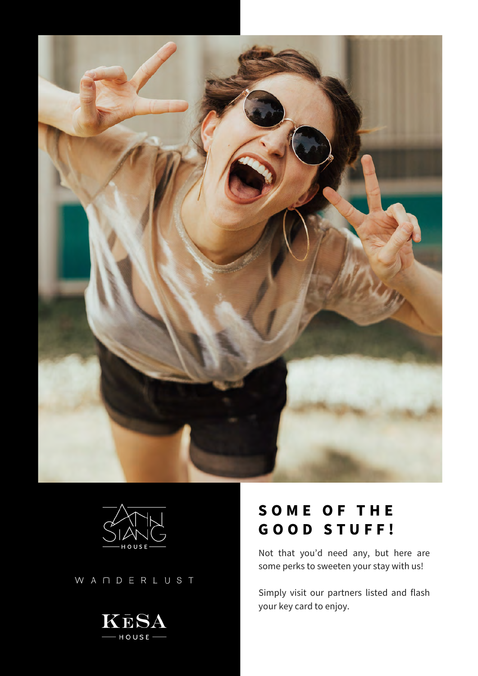



WANDERLUST



# **S O M E O F T H E G O O D S T U F F !**

Not that you'd need any, but here are some perks to sweeten your stay with us!

Simply visit our partners listed and flash your key card to enjoy.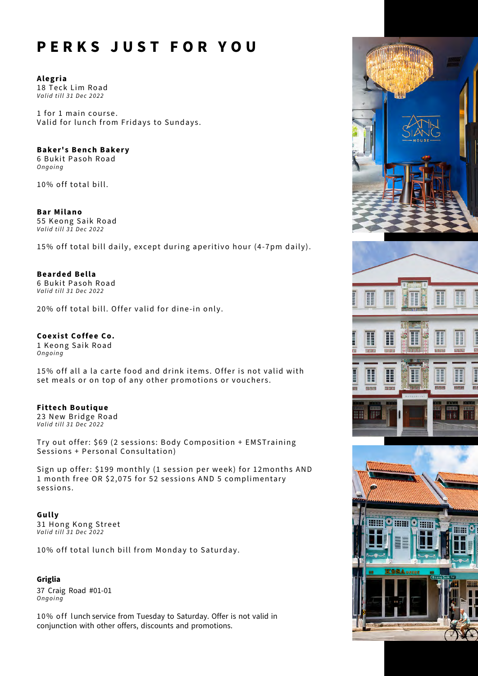# **P E R K S J U S T F O R Y O U**

**Alegria** 18 Teck Lim Road *Valid till 31 Dec 2022* 

1 for 1 main course. Valid for lunch from Fridays to Sundays.

### **Baker's Bench Bakery**

6 Bukit Pasoh Road *O n g o i n g*

10% off total bill.

**Bar Milano** 55 Keong Saik Road *Valid till 31 Dec 2022* 

15% off total bill daily, except during aperitivo hour (4-7pm daily).

**Bearded Bella** 6 Bukit Pasoh Road *Valid till 31 Dec 2022* 

20% off total bill. Offer valid for dine-in only.

## **Coexist Coffee Co.**

1 Keong Saik Road *O n g o i n g*

15% off all a la carte food and drink items. Offer is not valid with set meals or on top of any other promotions or vouchers.

**Fittech Boutique** 23 New Bridge Road *Valid till 31 Dec 2022* 

Try out offer: \$69 (2 sessions: Body Composition + EMSTraining Sessions + Personal Consultation)

Sign up offer: \$199 monthly (1 session per week) for 12months AND 1 month free OR \$2,075 for 52 sessions AND 5 complimentary sessions.

**Gully** 31 Hong Kong Street *Valid till 31 Dec 2022* 

10% off total lunch bill from Monday to Saturday.

#### **Griglia**

37 Craig Road #01-01 *Ongo i ng*

10% off lunch service from Tuesday to Saturday. Offer is not valid in conjunction with other offers, discounts and promotions.